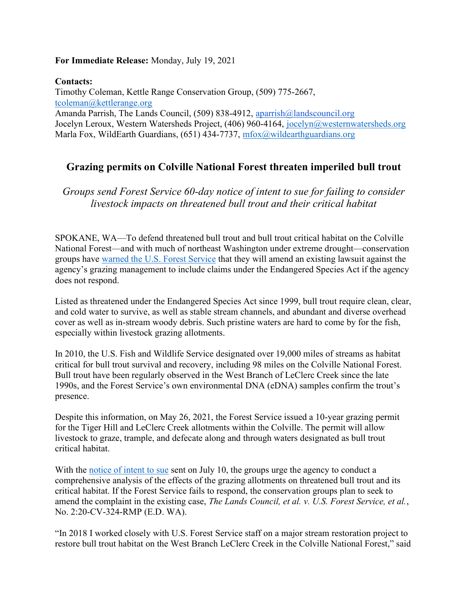## For Immediate Release: Monday, July 19, 2021

Contacts:

Timothy Coleman, Kettle Range Conservation Group, (509) 775-2667, tcoleman@kettlerange.org Amanda Parrish, The Lands Council, (509) 838-4912, aparrish@landscouncil.org Jocelyn Leroux, Western Watersheds Project, (406) 960-4164, jocelyn@westernwatersheds.org Marla Fox, WildEarth Guardians, (651) 434-7737, mfox@wildearthguardians.org

## Grazing permits on Colville National Forest threaten imperiled bull trout

Groups send Forest Service 60-day notice of intent to sue for failing to consider livestock impacts on threatened bull trout and their critical habitat

SPOKANE, WA—To defend threatened bull trout and bull trout critical habitat on the Colville National Forest—and with much of northeast Washington under extreme drought—conservation groups have warned the U.S. Forest Service that they will amend an existing lawsuit against the agency's grazing management to include claims under the Endangered Species Act if the agency does not respond.

Listed as threatened under the Endangered Species Act since 1999, bull trout require clean, clear, and cold water to survive, as well as stable stream channels, and abundant and diverse overhead cover as well as in-stream woody debris. Such pristine waters are hard to come by for the fish, especially within livestock grazing allotments.

In 2010, the U.S. Fish and Wildlife Service designated over 19,000 miles of streams as habitat critical for bull trout survival and recovery, including 98 miles on the Colville National Forest. Bull trout have been regularly observed in the West Branch of LeClerc Creek since the late 1990s, and the Forest Service's own environmental DNA (eDNA) samples confirm the trout's presence.

Despite this information, on May 26, 2021, the Forest Service issued a 10-year grazing permit for the Tiger Hill and LeClerc Creek allotments within the Colville. The permit will allow livestock to graze, trample, and defecate along and through waters designated as bull trout critical habitat.

With the notice of intent to sue sent on July 10, the groups urge the agency to conduct a comprehensive analysis of the effects of the grazing allotments on threatened bull trout and its critical habitat. If the Forest Service fails to respond, the conservation groups plan to seek to amend the complaint in the existing case, The Lands Council, et al. v. U.S. Forest Service, et al., No. 2:20-CV-324-RMP (E.D. WA).

"In 2018 I worked closely with U.S. Forest Service staff on a major stream restoration project to restore bull trout habitat on the West Branch LeClerc Creek in the Colville National Forest," said